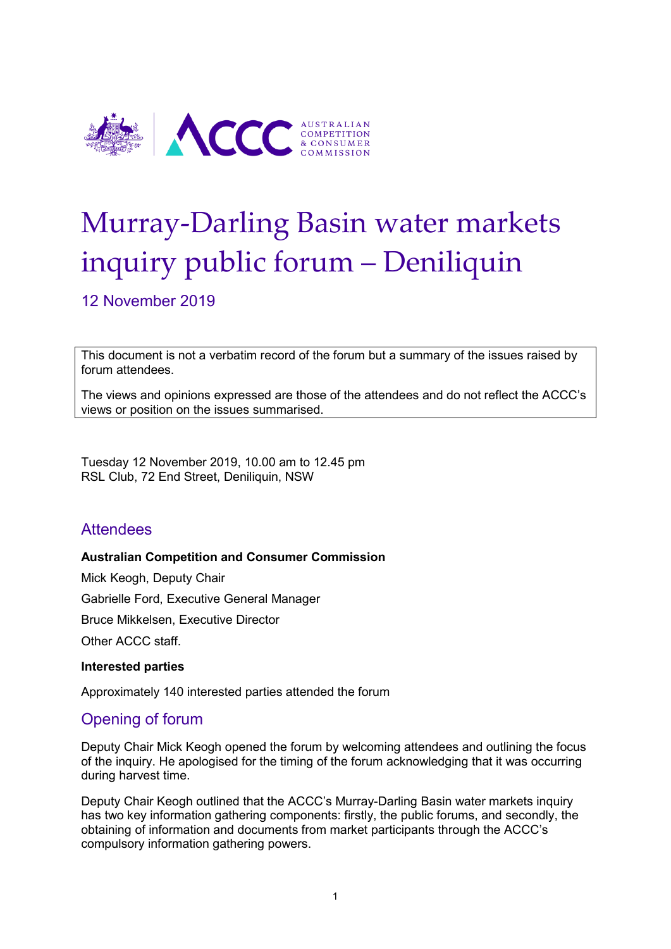

# Murray-Darling Basin water markets inquiry public forum – Deniliquin

12 November 2019

This document is not a verbatim record of the forum but a summary of the issues raised by forum attendees.

The views and opinions expressed are those of the attendees and do not reflect the ACCC's views or position on the issues summarised.

Tuesday 12 November 2019, 10.00 am to 12.45 pm RSL Club, 72 End Street, Deniliquin, NSW

# **Attendees**

#### **Australian Competition and Consumer Commission**

Mick Keogh, Deputy Chair Gabrielle Ford, Executive General Manager Bruce Mikkelsen, Executive Director Other ACCC staff.

#### **Interested parties**

Approximately 140 interested parties attended the forum

# Opening of forum

Deputy Chair Mick Keogh opened the forum by welcoming attendees and outlining the focus of the inquiry. He apologised for the timing of the forum acknowledging that it was occurring during harvest time.

Deputy Chair Keogh outlined that the ACCC's Murray-Darling Basin water markets inquiry has two key information gathering components: firstly, the public forums, and secondly, the obtaining of information and documents from market participants through the ACCC's compulsory information gathering powers.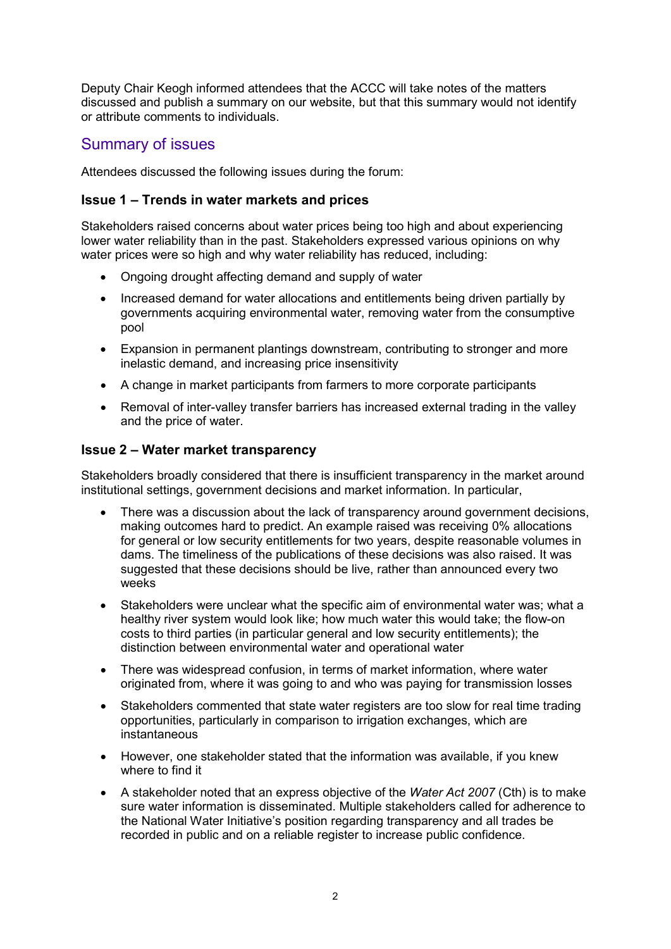Deputy Chair Keogh informed attendees that the ACCC will take notes of the matters discussed and publish a summary on our website, but that this summary would not identify or attribute comments to individuals.

# Summary of issues

Attendees discussed the following issues during the forum:

## **Issue 1 – Trends in water markets and prices**

Stakeholders raised concerns about water prices being too high and about experiencing lower water reliability than in the past. Stakeholders expressed various opinions on why water prices were so high and why water reliability has reduced, including:

- Ongoing drought affecting demand and supply of water
- Increased demand for water allocations and entitlements being driven partially by governments acquiring environmental water, removing water from the consumptive pool
- Expansion in permanent plantings downstream, contributing to stronger and more inelastic demand, and increasing price insensitivity
- A change in market participants from farmers to more corporate participants
- Removal of inter-valley transfer barriers has increased external trading in the valley and the price of water.

## **Issue 2 – Water market transparency**

Stakeholders broadly considered that there is insufficient transparency in the market around institutional settings, government decisions and market information. In particular,

- There was a discussion about the lack of transparency around government decisions, making outcomes hard to predict. An example raised was receiving 0% allocations for general or low security entitlements for two years, despite reasonable volumes in dams. The timeliness of the publications of these decisions was also raised. It was suggested that these decisions should be live, rather than announced every two weeks
- Stakeholders were unclear what the specific aim of environmental water was; what a healthy river system would look like; how much water this would take; the flow-on costs to third parties (in particular general and low security entitlements); the distinction between environmental water and operational water
- There was widespread confusion, in terms of market information, where water originated from, where it was going to and who was paying for transmission losses
- Stakeholders commented that state water registers are too slow for real time trading opportunities, particularly in comparison to irrigation exchanges, which are instantaneous
- However, one stakeholder stated that the information was available, if you knew where to find it
- A stakeholder noted that an express objective of the *Water Act 2007* (Cth) is to make sure water information is disseminated. Multiple stakeholders called for adherence to the National Water Initiative's position regarding transparency and all trades be recorded in public and on a reliable register to increase public confidence.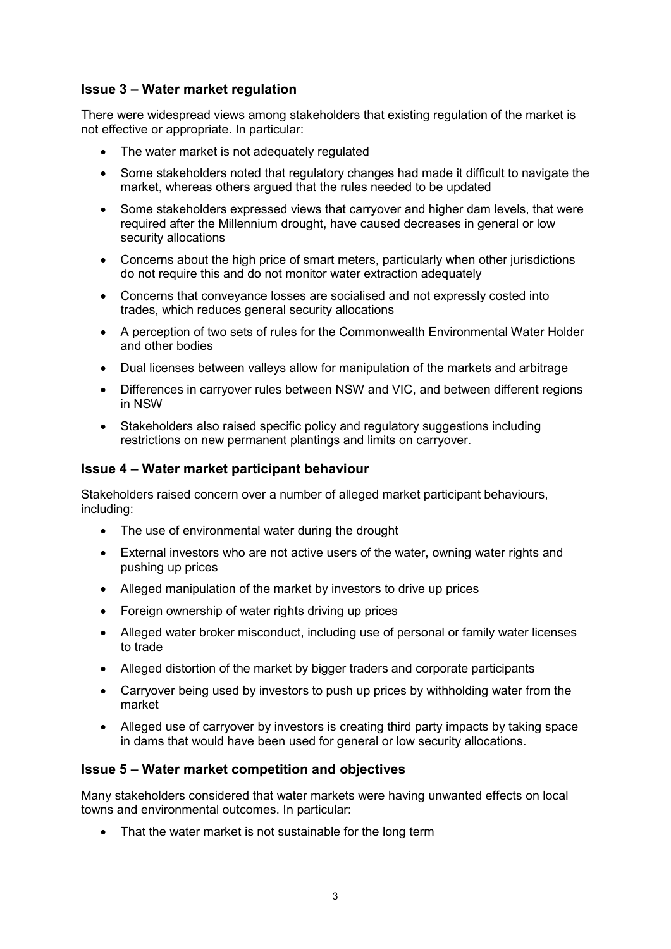## **Issue 3 – Water market regulation**

There were widespread views among stakeholders that existing regulation of the market is not effective or appropriate. In particular:

- The water market is not adequately regulated
- Some stakeholders noted that regulatory changes had made it difficult to navigate the market, whereas others argued that the rules needed to be updated
- Some stakeholders expressed views that carryover and higher dam levels, that were required after the Millennium drought, have caused decreases in general or low security allocations
- Concerns about the high price of smart meters, particularly when other jurisdictions do not require this and do not monitor water extraction adequately
- Concerns that conveyance losses are socialised and not expressly costed into trades, which reduces general security allocations
- A perception of two sets of rules for the Commonwealth Environmental Water Holder and other bodies
- Dual licenses between valleys allow for manipulation of the markets and arbitrage
- Differences in carryover rules between NSW and VIC, and between different regions in NSW
- Stakeholders also raised specific policy and regulatory suggestions including restrictions on new permanent plantings and limits on carryover.

### **Issue 4 – Water market participant behaviour**

Stakeholders raised concern over a number of alleged market participant behaviours, including:

- The use of environmental water during the drought
- External investors who are not active users of the water, owning water rights and pushing up prices
- Alleged manipulation of the market by investors to drive up prices
- Foreign ownership of water rights driving up prices
- Alleged water broker misconduct, including use of personal or family water licenses to trade
- Alleged distortion of the market by bigger traders and corporate participants
- Carryover being used by investors to push up prices by withholding water from the market
- Alleged use of carryover by investors is creating third party impacts by taking space in dams that would have been used for general or low security allocations.

#### **Issue 5 – Water market competition and objectives**

Many stakeholders considered that water markets were having unwanted effects on local towns and environmental outcomes. In particular:

• That the water market is not sustainable for the long term